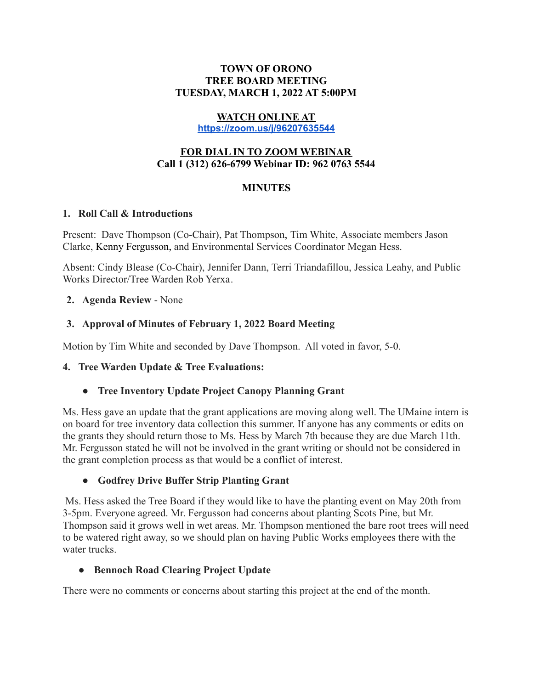#### **TOWN OF ORONO TREE BOARD MEETING TUESDAY, MARCH 1, 2022 AT 5:00PM**

### **WATCH ONLINE AT**

**<https://zoom.us/j/96207635544>**

### **FOR DIAL IN TO ZOOM WEBINAR Call 1 (312) 626-6799 Webinar ID: 962 0763 5544**

### **MINUTES**

#### **1. Roll Call & Introductions**

Present: Dave Thompson (Co-Chair), Pat Thompson, Tim White, Associate members Jason Clarke, Kenny Fergusson, and Environmental Services Coordinator Megan Hess.

Absent: Cindy Blease (Co-Chair), Jennifer Dann, Terri Triandafillou, Jessica Leahy, and Public Works Director/Tree Warden Rob Yerxa.

#### **2. Agenda Review** - None

### **3. Approval of Minutes of February 1, 2022 Board Meeting**

Motion by Tim White and seconded by Dave Thompson. All voted in favor, 5-0.

### **4. Tree Warden Update & Tree Evaluations:**

### **● Tree Inventory Update Project Canopy Planning Grant**

Ms. Hess gave an update that the grant applications are moving along well. The UMaine intern is on board for tree inventory data collection this summer. If anyone has any comments or edits on the grants they should return those to Ms. Hess by March 7th because they are due March 11th. Mr. Fergusson stated he will not be involved in the grant writing or should not be considered in the grant completion process as that would be a conflict of interest.

### **● Godfrey Drive Buffer Strip Planting Grant**

Ms. Hess asked the Tree Board if they would like to have the planting event on May 20th from 3-5pm. Everyone agreed. Mr. Fergusson had concerns about planting Scots Pine, but Mr. Thompson said it grows well in wet areas. Mr. Thompson mentioned the bare root trees will need to be watered right away, so we should plan on having Public Works employees there with the water trucks.

### **● Bennoch Road Clearing Project Update**

There were no comments or concerns about starting this project at the end of the month.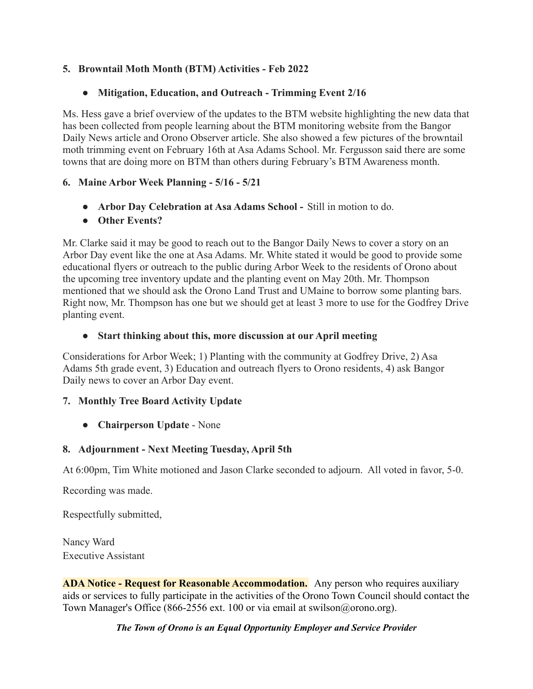### **5. Browntail Moth Month (BTM) Activities - Feb 2022**

## **● Mitigation, Education, and Outreach - Trimming Event 2/16**

Ms. Hess gave a brief overview of the updates to the BTM website highlighting the new data that has been collected from people learning about the BTM monitoring website from the Bangor Daily News article and Orono Observer article. She also showed a few pictures of the browntail moth trimming event on February 16th at Asa Adams School. Mr. Fergusson said there are some towns that are doing more on BTM than others during February's BTM Awareness month.

### **6. Maine Arbor Week Planning - 5/16 - 5/21**

- **● Arbor Day Celebration at Asa Adams School -** Still in motion to do.
- **● Other Events?**

Mr. Clarke said it may be good to reach out to the Bangor Daily News to cover a story on an Arbor Day event like the one at Asa Adams. Mr. White stated it would be good to provide some educational flyers or outreach to the public during Arbor Week to the residents of Orono about the upcoming tree inventory update and the planting event on May 20th. Mr. Thompson mentioned that we should ask the Orono Land Trust and UMaine to borrow some planting bars. Right now, Mr. Thompson has one but we should get at least 3 more to use for the Godfrey Drive planting event.

### **● Start thinking about this, more discussion at our April meeting**

Considerations for Arbor Week; 1) Planting with the community at Godfrey Drive, 2) Asa Adams 5th grade event, 3) Education and outreach flyers to Orono residents, 4) ask Bangor Daily news to cover an Arbor Day event.

# **7. Monthly Tree Board Activity Update**

**● Chairperson Update** - None

# **8. Adjournment - Next Meeting Tuesday, April 5th**

At 6:00pm, Tim White motioned and Jason Clarke seconded to adjourn. All voted in favor, 5-0.

Recording was made.

Respectfully submitted,

Nancy Ward Executive Assistant

**ADA Notice - Request for Reasonable Accommodation.** Any person who requires auxiliary aids or services to fully participate in the activities of the Orono Town Council should contact the Town Manager's Office (866-2556 ext. 100 or via email at swilson@orono.org).

### *The Town of Orono is an Equal Opportunity Employer and Service Provider*